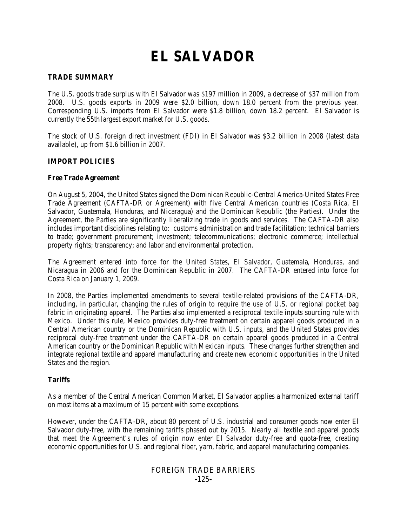# **EL SALVADOR**

## **TRADE SUMMARY**

The U.S. goods trade surplus with El Salvador was \$197 million in 2009, a decrease of \$37 million from 2008. U.S. goods exports in 2009 were \$2.0 billion, down 18.0 percent from the previous year. Corresponding U.S. imports from El Salvador were \$1.8 billion, down 18.2 percent. El Salvador is currently the 55th largest export market for U.S. goods.

The stock of U.S. foreign direct investment (FDI) in El Salvador was \$3.2 billion in 2008 (latest data available), up from \$1.6 billion in 2007.

## **IMPORT POLICIES**

#### **Free Trade Agreement**

On August 5, 2004, the United States signed the Dominican Republic-Central America-United States Free Trade Agreement (CAFTA-DR or Agreement) with five Central American countries (Costa Rica, El Salvador, Guatemala, Honduras, and Nicaragua) and the Dominican Republic (the Parties). Under the Agreement, the Parties are significantly liberalizing trade in goods and services. The CAFTA-DR also includes important disciplines relating to: customs administration and trade facilitation; technical barriers to trade; government procurement; investment; telecommunications; electronic commerce; intellectual property rights; transparency; and labor and environmental protection.

The Agreement entered into force for the United States, El Salvador, Guatemala, Honduras, and Nicaragua in 2006 and for the Dominican Republic in 2007. The CAFTA-DR entered into force for Costa Rica on January 1, 2009.

In 2008, the Parties implemented amendments to several textile-related provisions of the CAFTA-DR, including, in particular, changing the rules of origin to require the use of U.S. or regional pocket bag fabric in originating apparel. The Parties also implemented a reciprocal textile inputs sourcing rule with Mexico. Under this rule, Mexico provides duty-free treatment on certain apparel goods produced in a Central American country or the Dominican Republic with U.S. inputs, and the United States provides reciprocal duty-free treatment under the CAFTA-DR on certain apparel goods produced in a Central American country or the Dominican Republic with Mexican inputs. These changes further strengthen and integrate regional textile and apparel manufacturing and create new economic opportunities in the United States and the region.

## **Tariffs**

As a member of the Central American Common Market, El Salvador applies a harmonized external tariff on most items at a maximum of 15 percent with some exceptions.

However, under the CAFTA-DR, about 80 percent of U.S. industrial and consumer goods now enter El Salvador duty-free, with the remaining tariffs phased out by 2015. Nearly all textile and apparel goods that meet the Agreement's rules of origin now enter El Salvador duty-free and quota-free, creating economic opportunities for U.S. and regional fiber, yarn, fabric, and apparel manufacturing companies.

# FOREIGN TRADE BARRIERS **-**125**-**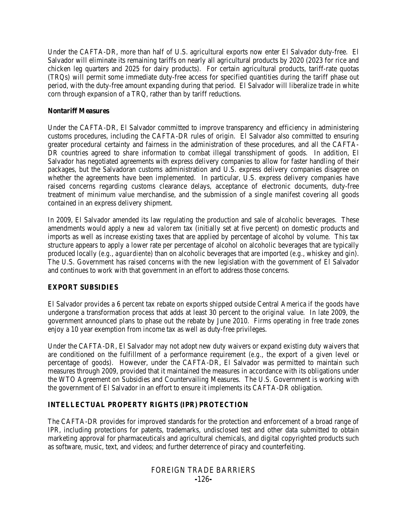Under the CAFTA-DR, more than half of U.S. agricultural exports now enter El Salvador duty-free. El Salvador will eliminate its remaining tariffs on nearly all agricultural products by 2020 (2023 for rice and chicken leg quarters and 2025 for dairy products). For certain agricultural products, tariff-rate quotas (TRQs) will permit some immediate duty-free access for specified quantities during the tariff phase out period, with the duty-free amount expanding during that period. El Salvador will liberalize trade in white corn through expansion of a TRQ, rather than by tariff reductions.

## **Nontariff Measures**

Under the CAFTA-DR, El Salvador committed to improve transparency and efficiency in administering customs procedures, including the CAFTA-DR rules of origin. El Salvador also committed to ensuring greater procedural certainty and fairness in the administration of these procedures, and all the CAFTA-DR countries agreed to share information to combat illegal transshipment of goods. In addition, El Salvador has negotiated agreements with express delivery companies to allow for faster handling of their packages, but the Salvadoran customs administration and U.S. express delivery companies disagree on whether the agreements have been implemented. In particular, U.S. express delivery companies have raised concerns regarding customs clearance delays, acceptance of electronic documents, duty-free treatment of minimum value merchandise, and the submission of a single manifest covering all goods contained in an express delivery shipment.

In 2009, El Salvador amended its law regulating the production and sale of alcoholic beverages. These amendments would apply a new *ad valorem* tax (initially set at five percent) on domestic products and imports as well as increase existing taxes that are applied by percentage of alcohol by volume. This tax structure appears to apply a lower rate per percentage of alcohol on alcoholic beverages that are typically produced locally (*e.g.*, *aguardiente*) than on alcoholic beverages that are imported (*e.g.*, whiskey and gin). The U.S. Government has raised concerns with the new legislation with the government of El Salvador and continues to work with that government in an effort to address those concerns.

## **EXPORT SUBSIDIES**

El Salvador provides a 6 percent tax rebate on exports shipped outside Central America if the goods have undergone a transformation process that adds at least 30 percent to the original value. In late 2009, the government announced plans to phase out the rebate by June 2010. Firms operating in free trade zones enjoy a 10 year exemption from income tax as well as duty-free privileges.

Under the CAFTA-DR, El Salvador may not adopt new duty waivers or expand existing duty waivers that are conditioned on the fulfillment of a performance requirement (*e.g.*, the export of a given level or percentage of goods). However, under the CAFTA-DR, El Salvador was permitted to maintain such measures through 2009, provided that it maintained the measures in accordance with its obligations under the WTO Agreement on Subsidies and Countervailing Measures. The U.S. Government is working with the government of El Salvador in an effort to ensure it implements its CAFTA-DR obligation.

# **INTELLECTUAL PROPERTY RIGHTS (IPR) PROTECTION**

The CAFTA-DR provides for improved standards for the protection and enforcement of a broad range of IPR, including protections for patents, trademarks, undisclosed test and other data submitted to obtain marketing approval for pharmaceuticals and agricultural chemicals, and digital copyrighted products such as software, music, text, and videos; and further deterrence of piracy and counterfeiting.

# FOREIGN TRADE BARRIERS **-**126**-**